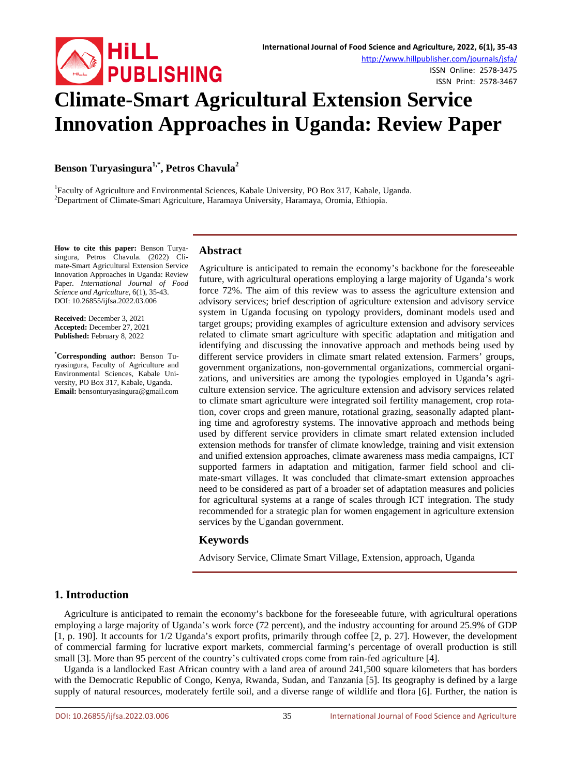

ISSN Online: 2578-3475 ISSN Print: 2578-3467

# **Climate-Smart Agricultural Extension Service Innovation Approaches in Uganda: Review Paper**

**Benson Turyasingura1,\* , Petros Chavula<sup>2</sup>**

<sup>1</sup> Faculty of Agriculture and Environmental Sciences, Kabale University, PO Box 317, Kabale, Uganda. <sup>2</sup> Department of Climate Smart Agriculture, Haramaya University, Haramaya Oromia, Ethiopia Department of Climate-Smart Agriculture, Haramaya University, Haramaya, Oromia, Ethiopia.

**How to cite this paper:** Benson Turyasingura, Petros Chavula. (2022) Climate-Smart Agricultural Extension Service Innovation Approaches in Uganda: Review Paper. *International Journal of Food Science and Agriculture*, 6(1), 35-43. DOI: 10.26855/ijfsa.2022.03.006

**Received:** December 3, 2021 **Accepted:** December 27, 2021 **Published:** February 8, 2022

**\* Corresponding author:** Benson Turyasingura, Faculty of Agriculture and Environmental Sciences, Kabale University, PO Box 317, Kabale, Uganda. **Email:** bensonturyasingura@gmail.com

# **Abstract**

Agriculture is anticipated to remain the economy's backbone for the foreseeable future, with agricultural operations employing a large majority of Uganda's work force 72%. The aim of this review was to assess the agriculture extension and advisory services; brief description of agriculture extension and advisory service system in Uganda focusing on typology providers, dominant models used and target groups; providing examples of agriculture extension and advisory services related to climate smart agriculture with specific adaptation and mitigation and identifying and discussing the innovative approach and methods being used by different service providers in climate smart related extension. Farmers' groups, government organizations, non-governmental organizations, commercial organizations, and universities are among the typologies employed in Uganda's agriculture extension service. The agriculture extension and advisory services related to climate smart agriculture were integrated soil fertility management, crop rotation, cover crops and green manure, rotational grazing, seasonally adapted planting time and agroforestry systems. The innovative approach and methods being used by different service providers in climate smart related extension included extension methods for transfer of climate knowledge, training and visit extension and unified extension approaches, climate awareness mass media campaigns, ICT supported farmers in adaptation and mitigation, farmer field school and climate-smart villages. It was concluded that climate-smart extension approaches need to be considered as part of a broader set of adaptation measures and policies for agricultural systems at a range of scales through ICT integration. The study recommended for a strategic plan for women engagement in agriculture extension services by the Ugandan government.

## **Keywords**

Advisory Service, Climate Smart Village, Extension, approach, Uganda

# **1. Introduction**

Agriculture is anticipated to remain the economy's backbone for the foreseeable future, with agricultural operations employing a large majority of Uganda's work force (72 percent), and the industry accounting for around 25.9% of GDP [1, p. 190]. It accounts for 1/2 Uganda's export profits, primarily through coffee [2, p. 27]. However, the development of commercial farming for lucrative export markets, commercial farming's percentage of overall production is still small [3]. More than 95 percent of the country's cultivated crops come from rain-fed agriculture [4].

Uganda is a landlocked East African country with a land area of around 241,500 square kilometers that has borders with the Democratic Republic of Congo, Kenya, Rwanda, Sudan, and Tanzania [5]. Its geography is defined by a large supply of natural resources, moderately fertile soil, and a diverse range of wildlife and flora [6]. Further, the nation is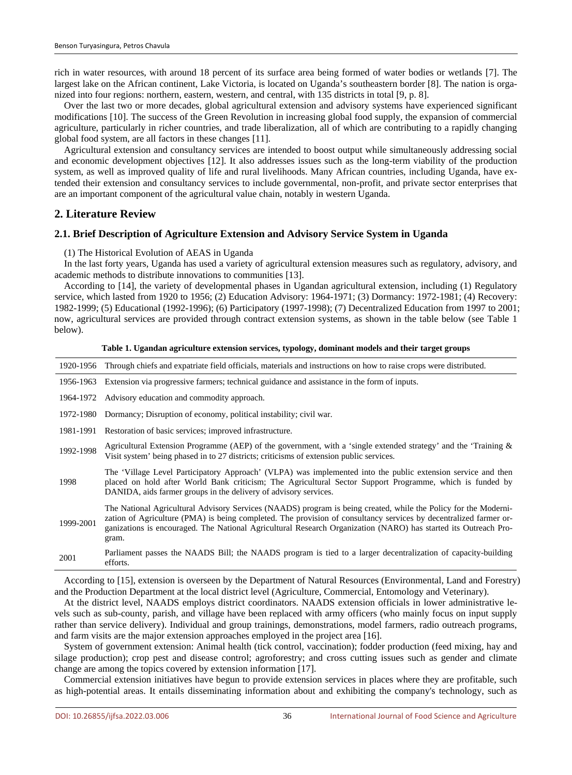rich in water resources, with around 18 percent of its surface area being formed of water bodies or wetlands [7]. The largest lake on the African continent, Lake Victoria, is located on Uganda's southeastern border [8]. The nation is organized into four regions: northern, eastern, western, and central, with 135 districts in total [9, p. 8].

Over the last two or more decades, global agricultural extension and advisory systems have experienced significant modifications [10]. The success of the Green Revolution in increasing global food supply, the expansion of commercial agriculture, particularly in richer countries, and trade liberalization, all of which are contributing to a rapidly changing global food system, are all factors in these changes [11].

Agricultural extension and consultancy services are intended to boost output while simultaneously addressing social and economic development objectives [12]. It also addresses issues such as the long-term viability of the production system, as well as improved quality of life and rural livelihoods. Many African countries, including Uganda, have extended their extension and consultancy services to include governmental, non-profit, and private sector enterprises that are an important component of the agricultural value chain, notably in western Uganda.

# **2. Literature Review**

## **2.1. Brief Description of Agriculture Extension and Advisory Service System in Uganda**

(1) The Historical Evolution of AEAS in Uganda

In the last forty years, Uganda has used a variety of agricultural extension measures such as regulatory, advisory, and academic methods to distribute innovations to communities [13].

According to [14], the variety of developmental phases in Ugandan agricultural extension, including (1) Regulatory service, which lasted from 1920 to 1956; (2) Education Advisory: 1964-1971; (3) Dormancy: 1972-1981; (4) Recovery: 1982-1999; (5) Educational (1992-1996); (6) Participatory (1997-1998); (7) Decentralized Education from 1997 to 2001; now, agricultural services are provided through contract extension systems, as shown in the table below (see Table 1 below).

#### **Table 1. Ugandan agriculture extension services, typology, dominant models and their target groups**

| 1920-1956 | Through chiefs and expatriate field officials, materials and instructions on how to raise crops were distributed.                                                                                                                                                                                                                                                |  |
|-----------|------------------------------------------------------------------------------------------------------------------------------------------------------------------------------------------------------------------------------------------------------------------------------------------------------------------------------------------------------------------|--|
|           | 1956-1963 Extension via progressive farmers; technical guidance and assistance in the form of inputs.                                                                                                                                                                                                                                                            |  |
|           | 1964-1972 Advisory education and commodity approach.                                                                                                                                                                                                                                                                                                             |  |
| 1972-1980 | Dormancy; Disruption of economy, political instability; civil war.                                                                                                                                                                                                                                                                                               |  |
| 1981-1991 | Restoration of basic services; improved infrastructure.                                                                                                                                                                                                                                                                                                          |  |
| 1992-1998 | Agricultural Extension Programme (AEP) of the government, with a 'single extended strategy' and the 'Training $\&$<br>Visit system' being phased in to 27 districts; criticisms of extension public services.                                                                                                                                                    |  |
| 1998      | The 'Village Level Participatory Approach' (VLPA) was implemented into the public extension service and then<br>placed on hold after World Bank criticism; The Agricultural Sector Support Programme, which is funded by<br>DANIDA, aids farmer groups in the delivery of advisory services.                                                                     |  |
| 1999-2001 | The National Agricultural Advisory Services (NAADS) program is being created, while the Policy for the Moderni-<br>zation of Agriculture (PMA) is being completed. The provision of consultancy services by decentralized farmer or-<br>ganizations is encouraged. The National Agricultural Research Organization (NARO) has started its Outreach Pro-<br>gram. |  |
| 2001      | Parliament passes the NAADS Bill; the NAADS program is tied to a larger decentralization of capacity-building<br>efforts.                                                                                                                                                                                                                                        |  |

According to [15], extension is overseen by the Department of Natural Resources (Environmental, Land and Forestry) and the Production Department at the local district level (Agriculture, Commercial, Entomology and Veterinary).

At the district level, NAADS employs district coordinators. NAADS extension officials in lower administrative levels such as sub-county, parish, and village have been replaced with army officers (who mainly focus on input supply rather than service delivery). Individual and group trainings, demonstrations, model farmers, radio outreach programs, and farm visits are the major extension approaches employed in the project area [16].

System of government extension: Animal health (tick control, vaccination); fodder production (feed mixing, hay and silage production); crop pest and disease control; agroforestry; and cross cutting issues such as gender and climate change are among the topics covered by extension information [17].

Commercial extension initiatives have begun to provide extension services in places where they are profitable, such as high-potential areas. It entails disseminating information about and exhibiting the company's technology, such as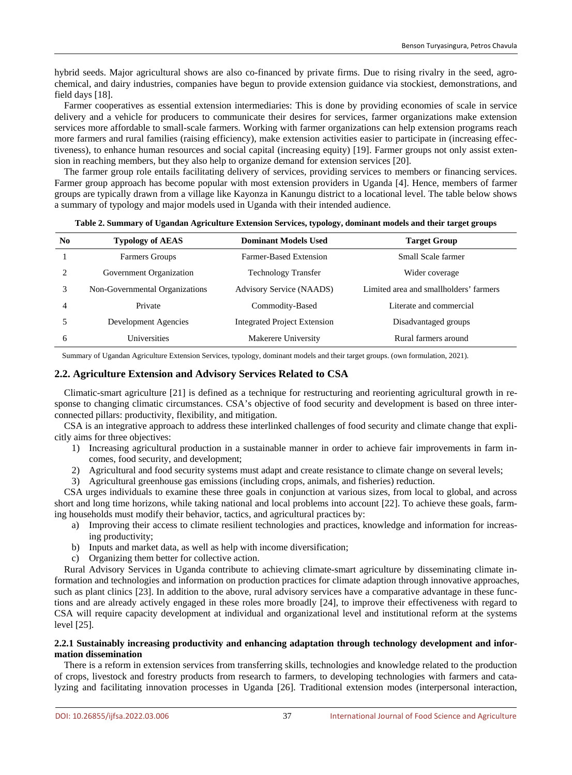hybrid seeds. Major agricultural shows are also co-financed by private firms. Due to rising rivalry in the seed, agrochemical, and dairy industries, companies have begun to provide extension guidance via stockiest, demonstrations, and field days [18].

Farmer cooperatives as essential extension intermediaries: This is done by providing economies of scale in service delivery and a vehicle for producers to communicate their desires for services, farmer organizations make extension services more affordable to small-scale farmers. Working with farmer organizations can help extension programs reach more farmers and rural families (raising efficiency), make extension activities easier to participate in (increasing effectiveness), to enhance human resources and social capital (increasing equity) [19]. Farmer groups not only assist extension in reaching members, but they also help to organize demand for extension services [20].

The farmer group role entails facilitating delivery of services, providing services to members or financing services. Farmer group approach has become popular with most extension providers in Uganda [4]. Hence, members of farmer groups are typically drawn from a village like Kayonza in Kanungu district to a locational level. The table below shows a summary of typology and major models used in Uganda with their intended audience.

| N <sub>0</sub> | <b>Typology of AEAS</b>        | <b>Dominant Models Used</b>                  | <b>Target Group</b>                    |
|----------------|--------------------------------|----------------------------------------------|----------------------------------------|
|                | Farmers Groups                 | Farmer-Based Extension                       | Small Scale farmer                     |
| ◠              | Government Organization        | <b>Technology Transfer</b><br>Wider coverage |                                        |
| 3              | Non-Governmental Organizations | <b>Advisory Service (NAADS)</b>              | Limited area and smallholders' farmers |
| 4              | Private                        | Commodity-Based                              | Literate and commercial                |
|                | Development Agencies           | <b>Integrated Project Extension</b>          | Disadvantaged groups                   |
| 6              | Universities                   | Makerere University                          | Rural farmers around                   |

#### **Table 2. Summary of Ugandan Agriculture Extension Services, typology, dominant models and their target groups**

Summary of Ugandan Agriculture Extension Services, typology, dominant models and their target groups. (own formulation, 2021).

#### **2.2. Agriculture Extension and Advisory Services Related to CSA**

Climatic-smart agriculture [21] is defined as a technique for restructuring and reorienting agricultural growth in response to changing climatic circumstances. CSA's objective of food security and development is based on three interconnected pillars: productivity, flexibility, and mitigation.

CSA is an integrative approach to address these interlinked challenges of food security and climate change that explicitly aims for three objectives:

- 1) Increasing agricultural production in a sustainable manner in order to achieve fair improvements in farm incomes, food security, and development;
- 2) Agricultural and food security systems must adapt and create resistance to climate change on several levels;
- 3) Agricultural greenhouse gas emissions (including crops, animals, and fisheries) reduction.

CSA urges individuals to examine these three goals in conjunction at various sizes, from local to global, and across short and long time horizons, while taking national and local problems into account [22]. To achieve these goals, farming households must modify their behavior, tactics, and agricultural practices by:

- a) Improving their access to climate resilient technologies and practices, knowledge and information for increasing productivity;
- b) Inputs and market data, as well as help with income diversification;
- c) Organizing them better for collective action.

Rural Advisory Services in Uganda contribute to achieving climate-smart agriculture by disseminating climate information and technologies and information on production practices for climate adaption through innovative approaches, such as plant clinics [23]. In addition to the above, rural advisory services have a comparative advantage in these functions and are already actively engaged in these roles more broadly [24], to improve their effectiveness with regard to CSA will require capacity development at individual and organizational level and institutional reform at the systems level [25].

## **2.2.1 Sustainably increasing productivity and enhancing adaptation through technology development and information dissemination**

There is a reform in extension services from transferring skills, technologies and knowledge related to the production of crops, livestock and forestry products from research to farmers, to developing technologies with farmers and catalyzing and facilitating innovation processes in Uganda [26]. Traditional extension modes (interpersonal interaction,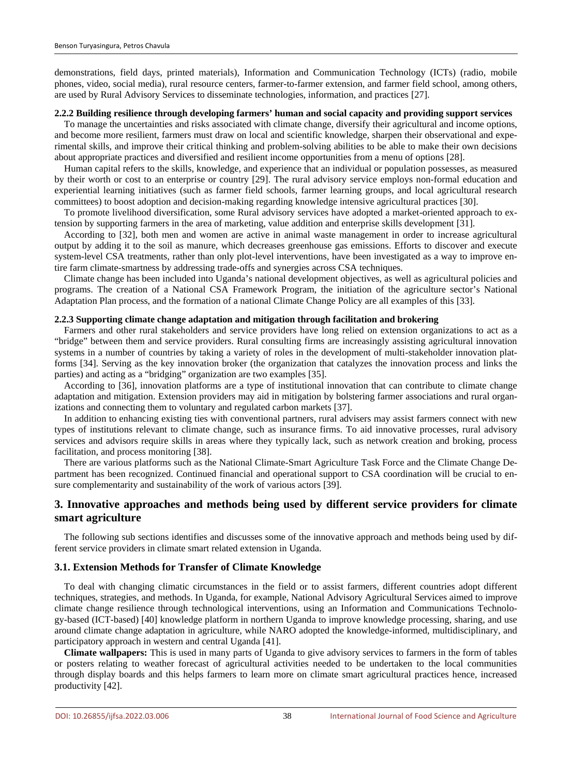demonstrations, field days, printed materials), Information and Communication Technology (ICTs) (radio, mobile phones, video, social media), rural resource centers, farmer-to-farmer extension, and farmer field school, among others, are used by Rural Advisory Services to disseminate technologies, information, and practices [27].

#### **2.2.2 Building resilience through developing farmers' human and social capacity and providing support services**

To manage the uncertainties and risks associated with climate change, diversify their agricultural and income options, and become more resilient, farmers must draw on local and scientific knowledge, sharpen their observational and experimental skills, and improve their critical thinking and problem-solving abilities to be able to make their own decisions about appropriate practices and diversified and resilient income opportunities from a menu of options [28].

Human capital refers to the skills, knowledge, and experience that an individual or population possesses, as measured by their worth or cost to an enterprise or country [29]. The rural advisory service employs non-formal education and experiential learning initiatives (such as farmer field schools, farmer learning groups, and local agricultural research committees) to boost adoption and decision-making regarding knowledge intensive agricultural practices [30].

To promote livelihood diversification, some Rural advisory services have adopted a market-oriented approach to extension by supporting farmers in the area of marketing, value addition and enterprise skills development [31].

According to [32], both men and women are active in animal waste management in order to increase agricultural output by adding it to the soil as manure, which decreases greenhouse gas emissions. Efforts to discover and execute system-level CSA treatments, rather than only plot-level interventions, have been investigated as a way to improve entire farm climate-smartness by addressing trade-offs and synergies across CSA techniques.

Climate change has been included into Uganda's national development objectives, as well as agricultural policies and programs. The creation of a National CSA Framework Program, the initiation of the agriculture sector's National Adaptation Plan process, and the formation of a national Climate Change Policy are all examples of this [33].

#### **2.2.3 Supporting climate change adaptation and mitigation through facilitation and brokering**

Farmers and other rural stakeholders and service providers have long relied on extension organizations to act as a "bridge" between them and service providers. Rural consulting firms are increasingly assisting agricultural innovation systems in a number of countries by taking a variety of roles in the development of multi-stakeholder innovation platforms [34]. Serving as the key innovation broker (the organization that catalyzes the innovation process and links the parties) and acting as a "bridging" organization are two examples [35].

According to [36], innovation platforms are a type of institutional innovation that can contribute to climate change adaptation and mitigation. Extension providers may aid in mitigation by bolstering farmer associations and rural organizations and connecting them to voluntary and regulated carbon markets [37].

In addition to enhancing existing ties with conventional partners, rural advisers may assist farmers connect with new types of institutions relevant to climate change, such as insurance firms. To aid innovative processes, rural advisory services and advisors require skills in areas where they typically lack, such as network creation and broking, process facilitation, and process monitoring [38].

There are various platforms such as the National Climate-Smart Agriculture Task Force and the Climate Change Department has been recognized. Continued financial and operational support to CSA coordination will be crucial to ensure complementarity and sustainability of the work of various actors [39].

# **3. Innovative approaches and methods being used by different service providers for climate smart agriculture**

The following sub sections identifies and discusses some of the innovative approach and methods being used by different service providers in climate smart related extension in Uganda.

### **3.1. Extension Methods for Transfer of Climate Knowledge**

To deal with changing climatic circumstances in the field or to assist farmers, different countries adopt different techniques, strategies, and methods. In Uganda, for example, National Advisory Agricultural Services aimed to improve climate change resilience through technological interventions, using an Information and Communications Technology-based (ICT-based) [40] knowledge platform in northern Uganda to improve knowledge processing, sharing, and use around climate change adaptation in agriculture, while NARO adopted the knowledge-informed, multidisciplinary, and participatory approach in western and central Uganda [41].

**Climate wallpapers:** This is used in many parts of Uganda to give advisory services to farmers in the form of tables or posters relating to weather forecast of agricultural activities needed to be undertaken to the local communities through display boards and this helps farmers to learn more on climate smart agricultural practices hence, increased productivity [42].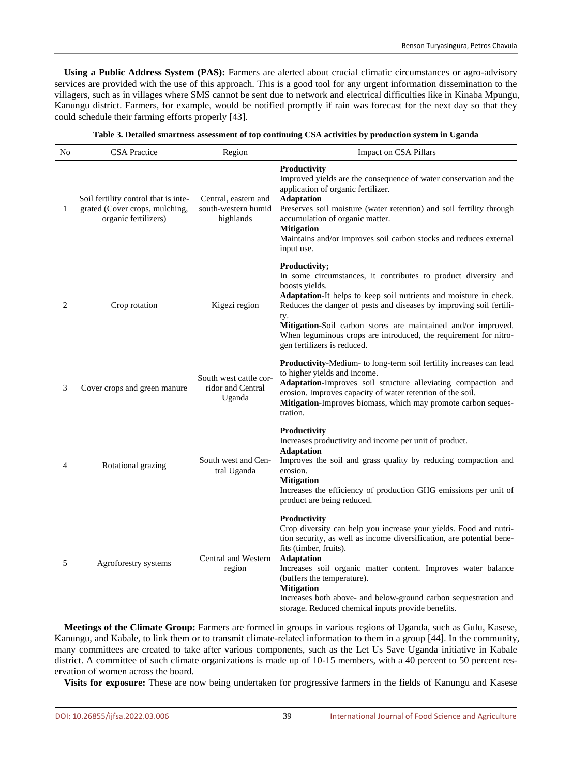**Using a Public Address System (PAS):** Farmers are alerted about crucial climatic circumstances or agro-advisory services are provided with the use of this approach. This is a good tool for any urgent information dissemination to the villagers, such as in villages where SMS cannot be sent due to network and electrical difficulties like in Kinaba Mpungu, Kanungu district. Farmers, for example, would be notified promptly if rain was forecast for the next day so that they could schedule their farming efforts properly [43].

| No           | <b>CSA</b> Practice                                                                            | Region                                                   | Impact on CSA Pillars                                                                                                                                                                                                                                                                                                                                                                                                                                         |
|--------------|------------------------------------------------------------------------------------------------|----------------------------------------------------------|---------------------------------------------------------------------------------------------------------------------------------------------------------------------------------------------------------------------------------------------------------------------------------------------------------------------------------------------------------------------------------------------------------------------------------------------------------------|
| $\mathbf{1}$ | Soil fertility control that is inte-<br>grated (Cover crops, mulching,<br>organic fertilizers) | Central, eastern and<br>south-western humid<br>highlands | Productivity<br>Improved yields are the consequence of water conservation and the<br>application of organic fertilizer.<br><b>Adaptation</b><br>Preserves soil moisture (water retention) and soil fertility through<br>accumulation of organic matter.<br><b>Mitigation</b><br>Maintains and/or improves soil carbon stocks and reduces external<br>input use.                                                                                               |
| 2            | Crop rotation                                                                                  | Kigezi region                                            | Productivity;<br>In some circumstances, it contributes to product diversity and<br>boosts yields.<br><b>Adaptation-It helps to keep soil nutrients and moisture in check.</b><br>Reduces the danger of pests and diseases by improving soil fertili-<br>ty.<br><b>Mitigation-Soil</b> carbon stores are maintained and/or improved.<br>When leguminous crops are introduced, the requirement for nitro-<br>gen fertilizers is reduced.                        |
| 3            | Cover crops and green manure                                                                   | South west cattle cor-<br>ridor and Central<br>Uganda    | <b>Productivity-Medium-</b> to long-term soil fertility increases can lead<br>to higher yields and income.<br>Adaptation-Improves soil structure alleviating compaction and<br>erosion. Improves capacity of water retention of the soil.<br>Mitigation-Improves biomass, which may promote carbon seques-<br>tration.                                                                                                                                        |
| 4            | Rotational grazing                                                                             | South west and Cen-<br>tral Uganda                       | Productivity<br>Increases productivity and income per unit of product.<br><b>Adaptation</b><br>Improves the soil and grass quality by reducing compaction and<br>erosion.<br><b>Mitigation</b><br>Increases the efficiency of production GHG emissions per unit of<br>product are being reduced.                                                                                                                                                              |
| 5            | Agroforestry systems                                                                           | Central and Western<br>region                            | <b>Productivity</b><br>Crop diversity can help you increase your yields. Food and nutri-<br>tion security, as well as income diversification, are potential bene-<br>fits (timber, fruits).<br><b>Adaptation</b><br>Increases soil organic matter content. Improves water balance<br>(buffers the temperature).<br><b>Mitigation</b><br>Increases both above- and below-ground carbon sequestration and<br>storage. Reduced chemical inputs provide benefits. |

**Meetings of the Climate Group:** Farmers are formed in groups in various regions of Uganda, such as Gulu, Kasese, Kanungu, and Kabale, to link them or to transmit climate-related information to them in a group [44]. In the community, many committees are created to take after various components, such as the Let Us Save Uganda initiative in Kabale district. A committee of such climate organizations is made up of 10-15 members, with a 40 percent to 50 percent reservation of women across the board.

**Visits for exposure:** These are now being undertaken for progressive farmers in the fields of Kanungu and Kasese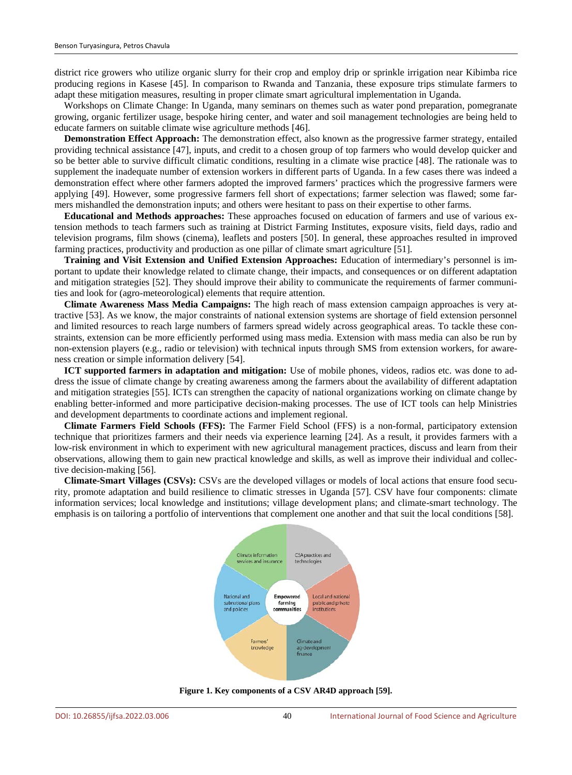district rice growers who utilize organic slurry for their crop and employ drip or sprinkle irrigation near Kibimba rice producing regions in Kasese [45]. In comparison to Rwanda and Tanzania, these exposure trips stimulate farmers to adapt these mitigation measures, resulting in proper climate smart agricultural implementation in Uganda.

Workshops on Climate Change: In Uganda, many seminars on themes such as water pond preparation, pomegranate growing, organic fertilizer usage, bespoke hiring center, and water and soil management technologies are being held to educate farmers on suitable climate wise agriculture methods [46].

**Demonstration Effect Approach:** The demonstration effect, also known as the progressive farmer strategy, entailed providing technical assistance [47], inputs, and credit to a chosen group of top farmers who would develop quicker and so be better able to survive difficult climatic conditions, resulting in a climate wise practice [48]. The rationale was to supplement the inadequate number of extension workers in different parts of Uganda. In a few cases there was indeed a demonstration effect where other farmers adopted the improved farmers' practices which the progressive farmers were applying [49]. However, some progressive farmers fell short of expectations; farmer selection was flawed; some farmers mishandled the demonstration inputs; and others were hesitant to pass on their expertise to other farms.

**Educational and Methods approaches:** These approaches focused on education of farmers and use of various extension methods to teach farmers such as training at District Farming Institutes, exposure visits, field days, radio and television programs, film shows (cinema), leaflets and posters [50]. In general, these approaches resulted in improved farming practices, productivity and production as one pillar of climate smart agriculture [51].

**Training and Visit Extension and Unified Extension Approaches:** Education of intermediary's personnel is important to update their knowledge related to climate change, their impacts, and consequences or on different adaptation and mitigation strategies [52]. They should improve their ability to communicate the requirements of farmer communities and look for (agro-meteorological) elements that require attention.

**Climate Awareness Mass Media Campaigns:** The high reach of mass extension campaign approaches is very attractive [53]. As we know, the major constraints of national extension systems are shortage of field extension personnel and limited resources to reach large numbers of farmers spread widely across geographical areas. To tackle these constraints, extension can be more efficiently performed using mass media. Extension with mass media can also be run by non-extension players (e.g., radio or television) with technical inputs through SMS from extension workers, for awareness creation or simple information delivery [54].

**ICT supported farmers in adaptation and mitigation:** Use of mobile phones, videos, radios etc. was done to address the issue of climate change by creating awareness among the farmers about the availability of different adaptation and mitigation strategies [55]. ICTs can strengthen the capacity of national organizations working on climate change by enabling better-informed and more participative decision-making processes. The use of ICT tools can help Ministries and development departments to coordinate actions and implement regional.

**Climate Farmers Field Schools (FFS):** The Farmer Field School (FFS) is a non-formal, participatory extension technique that prioritizes farmers and their needs via experience learning [24]. As a result, it provides farmers with a low-risk environment in which to experiment with new agricultural management practices, discuss and learn from their observations, allowing them to gain new practical knowledge and skills, as well as improve their individual and collective decision-making [56].

**Climate-Smart Villages (CSVs):** CSVs are the developed villages or models of local actions that ensure food security, promote adaptation and build resilience to climatic stresses in Uganda [57]. CSV have four components: climate information services; local knowledge and institutions; village development plans; and climate-smart technology. The emphasis is on tailoring a portfolio of interventions that complement one another and that suit the local conditions [58].



**Figure 1. Key components of a CSV AR4D approach [59].**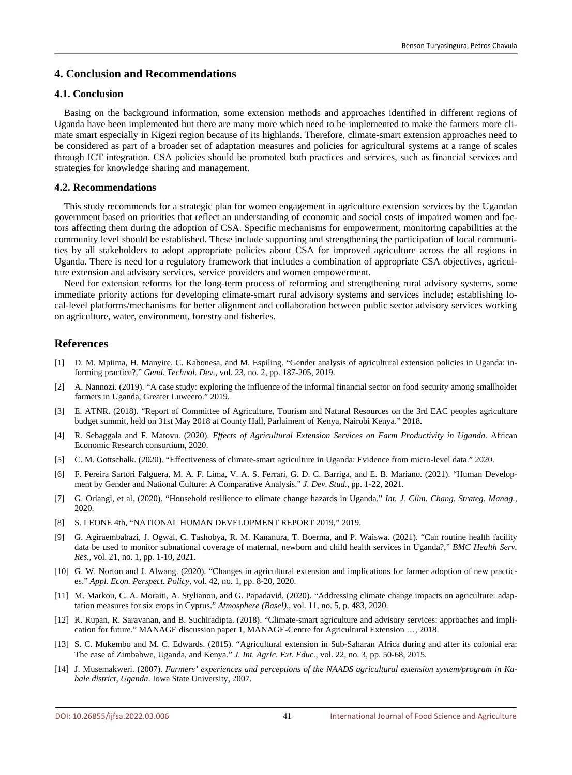# **4. Conclusion and Recommendations**

## **4.1. Conclusion**

Basing on the background information, some extension methods and approaches identified in different regions of Uganda have been implemented but there are many more which need to be implemented to make the farmers more climate smart especially in Kigezi region because of its highlands. Therefore, climate-smart extension approaches need to be considered as part of a broader set of adaptation measures and policies for agricultural systems at a range of scales through ICT integration. CSA policies should be promoted both practices and services, such as financial services and strategies for knowledge sharing and management.

## **4.2. Recommendations**

This study recommends for a strategic plan for women engagement in agriculture extension services by the Ugandan government based on priorities that reflect an understanding of economic and social costs of impaired women and factors affecting them during the adoption of CSA. Specific mechanisms for empowerment, monitoring capabilities at the community level should be established. These include supporting and strengthening the participation of local communities by all stakeholders to adopt appropriate policies about CSA for improved agriculture across the all regions in Uganda. There is need for a regulatory framework that includes a combination of appropriate CSA objectives, agriculture extension and advisory services, service providers and women empowerment.

Need for extension reforms for the long-term process of reforming and strengthening rural advisory systems, some immediate priority actions for developing climate-smart rural advisory systems and services include; establishing local-level platforms/mechanisms for better alignment and collaboration between public sector advisory services working on agriculture, water, environment, forestry and fisheries.

# **References**

- [1] D. M. Mpiima, H. Manyire, C. Kabonesa, and M. Espiling. "Gender analysis of agricultural extension policies in Uganda: informing practice?," *Gend. Technol. Dev.*, vol. 23, no. 2, pp. 187-205, 2019.
- [2] A. Nannozi. (2019). "A case study: exploring the influence of the informal financial sector on food security among smallholder farmers in Uganda, Greater Luweero." 2019.
- [3] E. ATNR. (2018). "Report of Committee of Agriculture, Tourism and Natural Resources on the 3rd EAC peoples agriculture budget summit, held on 31st May 2018 at County Hall, Parlaiment of Kenya, Nairobi Kenya." 2018.
- [4] R. Sebaggala and F. Matovu. (2020). *Effects of Agricultural Extension Services on Farm Productivity in Uganda*. African Economic Research consortium, 2020.
- [5] C. M. Gottschalk. (2020). "Effectiveness of climate-smart agriculture in Uganda: Evidence from micro-level data." 2020.
- [6] F. Pereira Sartori Falguera, M. A. F. Lima, V. A. S. Ferrari, G. D. C. Barriga, and E. B. Mariano. (2021). "Human Development by Gender and National Culture: A Comparative Analysis." *J. Dev. Stud.*, pp. 1-22, 2021.
- [7] G. Oriangi, et al. (2020). "Household resilience to climate change hazards in Uganda." *Int. J. Clim. Chang. Strateg. Manag.*, 2020.
- [8] S. LEONE 4th, "NATIONAL HUMAN DEVELOPMENT REPORT 2019," 2019.
- [9] G. Agiraembabazi, J. Ogwal, C. Tashobya, R. M. Kananura, T. Boerma, and P. Waiswa. (2021). "Can routine health facility data be used to monitor subnational coverage of maternal, newborn and child health services in Uganda?," *BMC Health Serv. Res.*, vol. 21, no. 1, pp. 1-10, 2021.
- [10] G. W. Norton and J. Alwang. (2020). "Changes in agricultural extension and implications for farmer adoption of new practices." *Appl. Econ. Perspect. Policy*, vol. 42, no. 1, pp. 8-20, 2020.
- [11] M. Markou, C. A. Moraiti, A. Stylianou, and G. Papadavid. (2020). "Addressing climate change impacts on agriculture: adaptation measures for six crops in Cyprus." *Atmosphere (Basel).*, vol. 11, no. 5, p. 483, 2020.
- [12] R. Rupan, R. Saravanan, and B. Suchiradipta. (2018). "Climate-smart agriculture and advisory services: approaches and implication for future." MANAGE discussion paper 1, MANAGE-Centre for Agricultural Extension …, 2018.
- [13] S. C. Mukembo and M. C. Edwards. (2015). "Agricultural extension in Sub-Saharan Africa during and after its colonial era: The case of Zimbabwe, Uganda, and Kenya." *J. Int. Agric. Ext. Educ.*, vol. 22, no. 3, pp. 50-68, 2015.
- [14] J. Musemakweri. (2007). *Farmers' experiences and perceptions of the NAADS agricultural extension system/program in Kabale district, Uganda*. Iowa State University, 2007.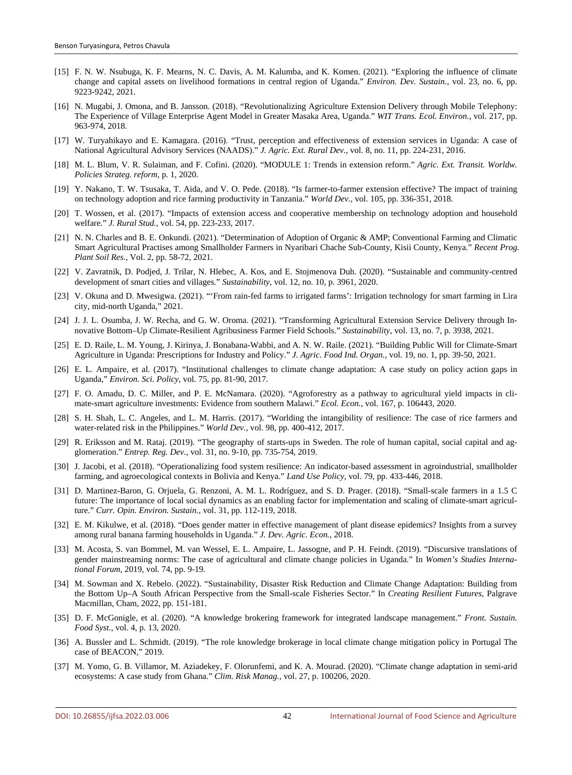- [15] F. N. W. Nsubuga, K. F. Mearns, N. C. Davis, A. M. Kalumba, and K. Komen. (2021). "Exploring the influence of climate change and capital assets on livelihood formations in central region of Uganda." *Environ. Dev. Sustain.*, vol. 23, no. 6, pp. 9223-9242, 2021.
- [16] N. Mugabi, J. Omona, and B. Jansson. (2018). "Revolutionalizing Agriculture Extension Delivery through Mobile Telephony: The Experience of Village Enterprise Agent Model in Greater Masaka Area, Uganda." *WIT Trans. Ecol. Environ.*, vol. 217, pp. 963-974, 2018.
- [17] W. Turyahikayo and E. Kamagara. (2016). "Trust, perception and effectiveness of extension services in Uganda: A case of National Agricultural Advisory Services (NAADS)." *J. Agric. Ext. Rural Dev.*, vol. 8, no. 11, pp. 224-231, 2016.
- [18] M. L. Blum, V. R. Sulaiman, and F. Cofini. (2020). "MODULE 1: Trends in extension reform." *Agric. Ext. Transit. Worldw. Policies Strateg. reform*, p. 1, 2020.
- [19] Y. Nakano, T. W. Tsusaka, T. Aida, and V. O. Pede. (2018). "Is farmer-to-farmer extension effective? The impact of training on technology adoption and rice farming productivity in Tanzania." *World Dev.*, vol. 105, pp. 336-351, 2018.
- [20] T. Wossen, et al. (2017). "Impacts of extension access and cooperative membership on technology adoption and household welfare." *J. Rural Stud.*, vol. 54, pp. 223-233, 2017.
- [21] N. N. Charles and B. E. Onkundi. (2021). "Determination of Adoption of Organic & AMP; Conventional Farming and Climatic Smart Agricultural Practises among Smallholder Farmers in Nyaribari Chache Sub-County, Kisii County, Kenya." *Recent Prog. Plant Soil Res.*, Vol. 2, pp. 58-72, 2021.
- [22] V. Zavratnik, D. Podjed, J. Trilar, N. Hlebec, A. Kos, and E. Stojmenova Duh. (2020). "Sustainable and community-centred development of smart cities and villages." *Sustainability*, vol. 12, no. 10, p. 3961, 2020.
- [23] V. Okuna and D. Mwesigwa. (2021). "'From rain-fed farms to irrigated farms': Irrigation technology for smart farming in Lira city, mid-north Uganda," 2021.
- [24] J. J. L. Osumba, J. W. Recha, and G. W. Oroma. (2021). "Transforming Agricultural Extension Service Delivery through Innovative Bottom–Up Climate-Resilient Agribusiness Farmer Field Schools." *Sustainability*, vol. 13, no. 7, p. 3938, 2021.
- [25] E. D. Raile, L. M. Young, J. Kirinya, J. Bonabana-Wabbi, and A. N. W. Raile. (2021). "Building Public Will for Climate-Smart Agriculture in Uganda: Prescriptions for Industry and Policy." *J. Agric. Food Ind. Organ.*, vol. 19, no. 1, pp. 39-50, 2021.
- [26] E. L. Ampaire, et al. (2017). "Institutional challenges to climate change adaptation: A case study on policy action gaps in Uganda," *Environ. Sci. Policy*, vol. 75, pp. 81-90, 2017.
- [27] F. O. Amadu, D. C. Miller, and P. E. McNamara. (2020). "Agroforestry as a pathway to agricultural yield impacts in climate-smart agriculture investments: Evidence from southern Malawi." *Ecol. Econ.*, vol. 167, p. 106443, 2020.
- [28] S. H. Shah, L. C. Angeles, and L. M. Harris. (2017). "Worlding the intangibility of resilience: The case of rice farmers and water-related risk in the Philippines." *World Dev.*, vol. 98, pp. 400-412, 2017.
- [29] R. Eriksson and M. Rataj. (2019). "The geography of starts-ups in Sweden. The role of human capital, social capital and agglomeration." *Entrep. Reg. Dev.*, vol. 31, no. 9-10, pp. 735-754, 2019.
- [30] J. Jacobi, et al. (2018). "Operationalizing food system resilience: An indicator-based assessment in agroindustrial, smallholder farming, and agroecological contexts in Bolivia and Kenya." *Land Use Policy*, vol. 79, pp. 433-446, 2018.
- [31] D. Martinez-Baron, G. Orjuela, G. Renzoni, A. M. L. Rodríguez, and S. D. Prager. (2018). "Small-scale farmers in a 1.5 C future: The importance of local social dynamics as an enabling factor for implementation and scaling of climate-smart agriculture." *Curr. Opin. Environ. Sustain.*, vol. 31, pp. 112-119, 2018.
- [32] E. M. Kikulwe, et al. (2018). "Does gender matter in effective management of plant disease epidemics? Insights from a survey among rural banana farming households in Uganda." *J. Dev. Agric. Econ.*, 2018.
- [33] M. Acosta, S. van Bommel, M. van Wessel, E. L. Ampaire, L. Jassogne, and P. H. Feindt. (2019). "Discursive translations of gender mainstreaming norms: The case of agricultural and climate change policies in Uganda." In *Women's Studies International Forum*, 2019, vol. 74, pp. 9-19.
- [34] M. Sowman and X. Rebelo. (2022). "Sustainability, Disaster Risk Reduction and Climate Change Adaptation: Building from the Bottom Up–A South African Perspective from the Small-scale Fisheries Sector." In *Creating Resilient Futures*, Palgrave Macmillan, Cham, 2022, pp. 151-181.
- [35] D. F. McGonigle, et al. (2020). "A knowledge brokering framework for integrated landscape management." *Front. Sustain. Food Syst.*, vol. 4, p. 13, 2020.
- [36] A. Bussler and L. Schmidt. (2019). "The role knowledge brokerage in local climate change mitigation policy in Portugal The case of BEACON," 2019.
- [37] M. Yomo, G. B. Villamor, M. Aziadekey, F. Olorunfemi, and K. A. Mourad. (2020). "Climate change adaptation in semi-arid ecosystems: A case study from Ghana." *Clim. Risk Manag.*, vol. 27, p. 100206, 2020.